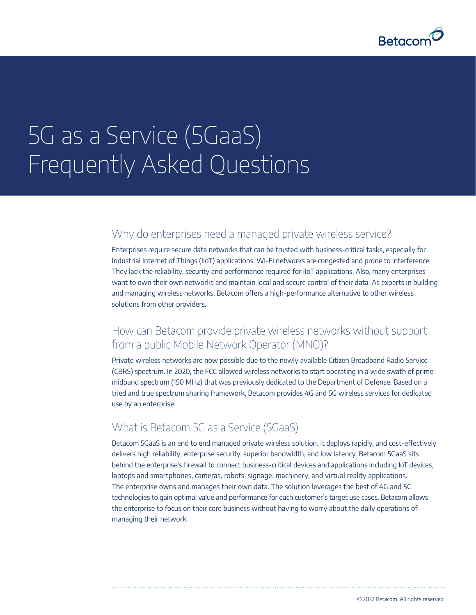

# 5G as a Service (5GaaS) Frequently Asked Questions

#### Why do enterprises need a managed private wireless service?

Enterprises require secure data networks that can be trusted with business-critical tasks, especially for Industrial Internet of Things (IIoT) applications. Wi-Fi networks are congested and prone to interference. They lack the reliability, security and performance required for IIoT applications. Also, many enterprises want to own their own networks and maintain local and secure control of their data. As experts in building and managing wireless networks, Betacom offers a high-performance alternative to other wireless solutions from other providers.

## How can Betacom provide private wireless networks without support from a public Mobile Network Operator (MNO)?

Private wireless networks are now possible due to the newly available Citizen Broadband Radio Service (CBRS) spectrum. In 2020, the FCC allowed wireless networks to start operating in a wide swath of prime midband spectrum (150 MHz) that was previously dedicated to the Department of Defense. Based on a tried and true spectrum sharing framework, Betacom provides 4G and 5G wireless services for dedicated use by an enterprise.

#### What is Betacom 5G as a Service (5GaaS)

Betacom 5GaaS is an end to end managed private wireless solution. It deploys rapidly, and cost-effectively delivers high reliability, enterprise security, superior bandwidth, and low latency. Betacom 5GaaS sits behind the enterprise's firewall to connect business-critical devices and applications including IoT devices, laptops and smartphones, cameras, robots, signage, machinery, and virtual reality applications. The enterprise owns and manages their own data. The solution leverages the best of 4G and 5G technologies to gain optimal value and performance for each customer's target use cases. Betacom allows the enterprise to focus on their core business without having to worry about the daily operations of managing their network.

© 2022 Betacom. All rights reserved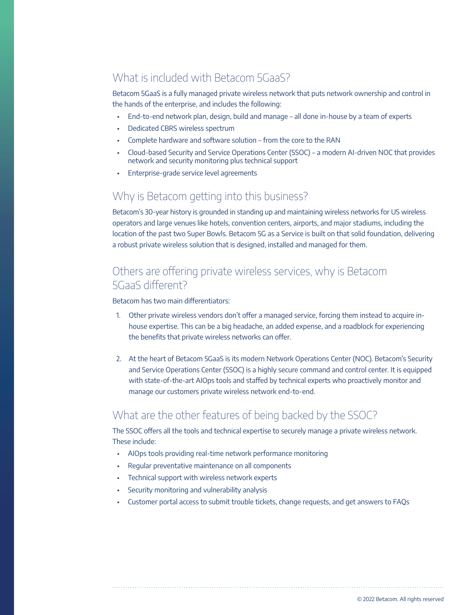## What is included with Betacom 5GaaS?

Betacom 5GaaS is a fully managed private wireless network that puts network ownership and control in the hands of the enterprise, and includes the following:

- End-to-end network plan, design, build and manage all done in-house by a team of experts
- Dedicated CBRS wireless spectrum
- Complete hardware and software solution from the core to the RAN
- Cloud-based Security and Service Operations Center (SSOC) a modern AI-driven NOC that provides network and security monitoring plus technical support
- Enterprise-grade service level agreements

#### Why is Betacom getting into this business?

Betacom's 30-year history is grounded in standing up and maintaining wireless networks for US wireless operators and large venues like hotels, convention centers, airports, and major stadiums, including the location of the past two Super Bowls. Betacom 5G as a Service is built on that solid foundation, delivering a robust private wireless solution that is designed, installed and managed for them.

## Others are offering private wireless services, why is Betacom 5GaaS different?

Betacom has two main differentiators:

- 1. Other private wireless vendors don't offer a managed service, forcing them instead to acquire inhouse expertise. This can be a big headache, an added expense, and a roadblock for experiencing the benefits that private wireless networks can offer.
- 2. At the heart of Betacom 5GaaS is its modern Network Operations Center (NOC). Betacom's Security and Service Operations Center (SSOC) is a highly secure command and control center. It is equipped with state-of-the-art AIOps tools and staffed by technical experts who proactively monitor and manage our customers private wireless network end-to-end.

#### What are the other features of being backed by the SSOC?

The SSOC offers all the tools and technical expertise to securely manage a private wireless network. These include:

- AIOps tools providing real-time network performance monitoring
- Regular preventative maintenance on all components
- Technical support with wireless network experts
- Security monitoring and vulnerability analysis
- Customer portal access to submit trouble tickets, change requests, and get answers to FAQs

© 2022 Betacom. All rights reserved